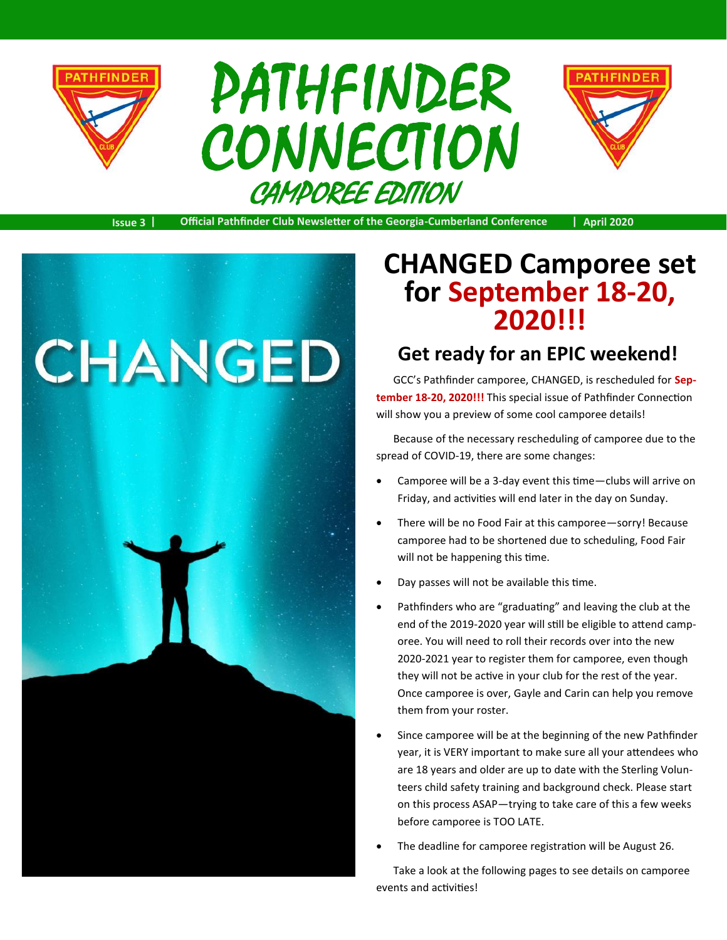

# CAMPOREE EDITION PATHFINDER CONNECTION



**Issue 3 | Official Pathfinder Club Newsletter of the Georgia-Cumberland Conference | April 2020**



### **CHANGED Camporee set for September 18-20, 2020!!!**

#### **Get ready for an EPIC weekend!**

GCC's Pathfinder camporee, CHANGED, is rescheduled for **September 18-20, 2020!!!** This special issue of Pathfinder Connection will show you a preview of some cool camporee details!

Because of the necessary rescheduling of camporee due to the spread of COVID-19, there are some changes:

- Camporee will be a 3-day event this time—clubs will arrive on Friday, and activities will end later in the day on Sunday.
- There will be no Food Fair at this camporee—sorry! Because camporee had to be shortened due to scheduling, Food Fair will not be happening this time.
- Day passes will not be available this time.
- Pathfinders who are "graduating" and leaving the club at the end of the 2019-2020 year will still be eligible to attend camporee. You will need to roll their records over into the new 2020-2021 year to register them for camporee, even though they will not be active in your club for the rest of the year. Once camporee is over, Gayle and Carin can help you remove them from your roster.
- Since camporee will be at the beginning of the new Pathfinder year, it is VERY important to make sure all your attendees who are 18 years and older are up to date with the Sterling Volunteers child safety training and background check. Please start on this process ASAP—trying to take care of this a few weeks before camporee is TOO LATE.
- The deadline for camporee registration will be August 26.

Take a look at the following pages to see details on camporee events and activities!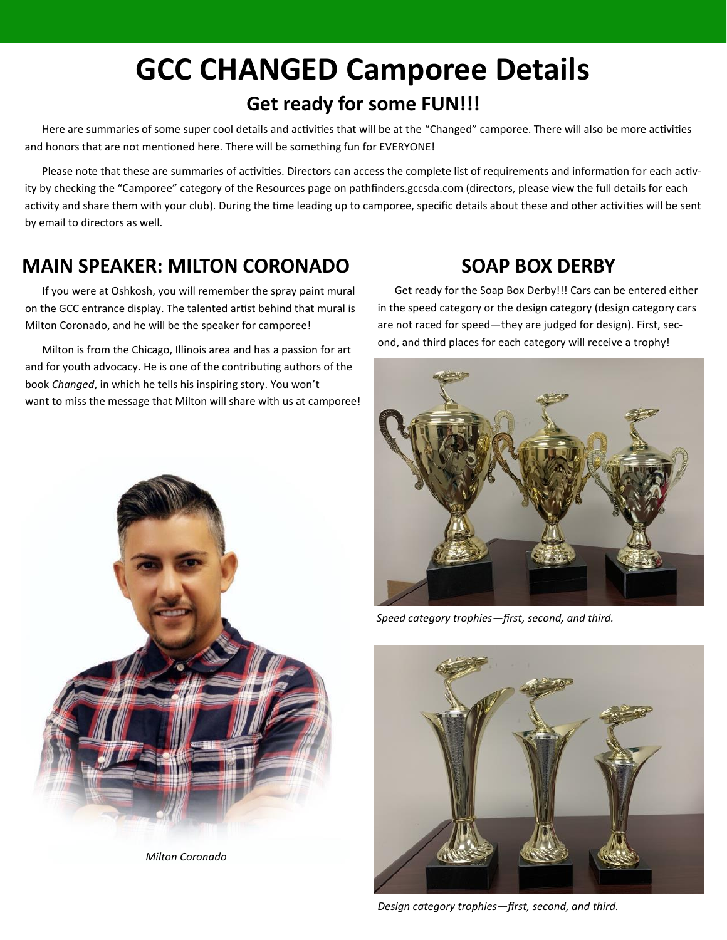### **GCC CHANGED Camporee Details Get ready for some FUN!!!**

Here are summaries of some super cool details and activities that will be at the "Changed" camporee. There will also be more activities and honors that are not mentioned here. There will be something fun for EVERYONE!

Please note that these are summaries of activities. Directors can access the complete list of requirements and information for each activity by checking the "Camporee" category of the Resources page on pathfinders.gccsda.com (directors, please view the full details for each activity and share them with your club). During the time leading up to camporee, specific details about these and other activities will be sent by email to directors as well.

#### **MAIN SPEAKER: MILTON CORONADO**

If you were at Oshkosh, you will remember the spray paint mural on the GCC entrance display. The talented artist behind that mural is Milton Coronado, and he will be the speaker for camporee!

Milton is from the Chicago, Illinois area and has a passion for art and for youth advocacy. He is one of the contributing authors of the book *Changed*, in which he tells his inspiring story. You won't want to miss the message that Milton will share with us at camporee!

#### **SOAP BOX DERBY**

Get ready for the Soap Box Derby!!! Cars can be entered either in the speed category or the design category (design category cars are not raced for speed—they are judged for design). First, second, and third places for each category will receive a trophy!



*Speed category trophies—first, second, and third.*



*Design category trophies—first, second, and third.*



*Milton Coronado*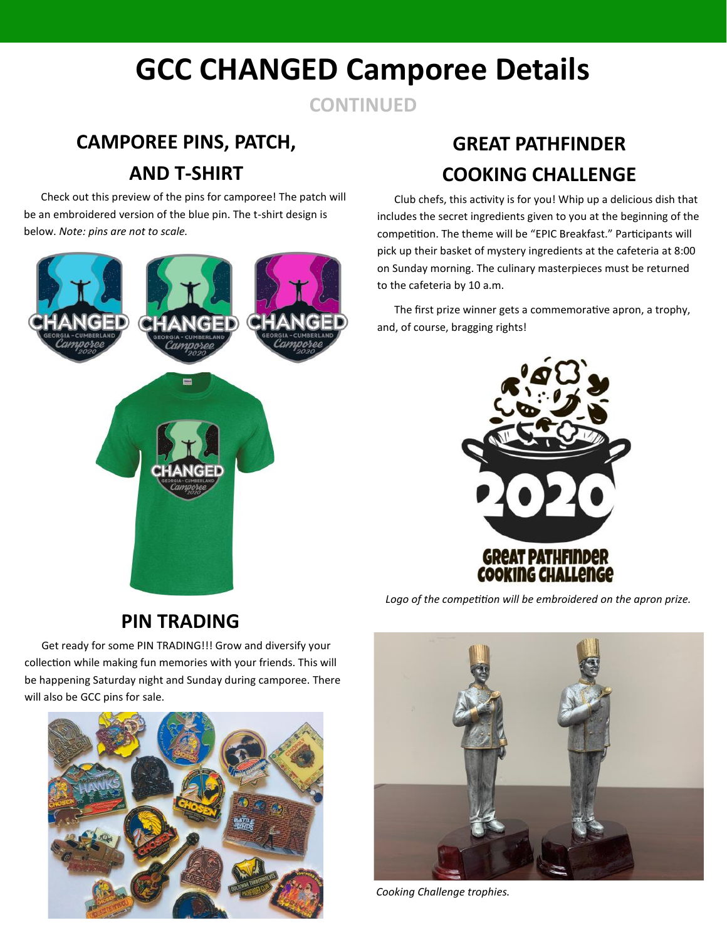## **GCC CHANGED Camporee Details**

**CONTINUED**

### **CAMPOREE PINS, PATCH, AND T-SHIRT**

Check out this preview of the pins for camporee! The patch will be an embroidered version of the blue pin. The t-shirt design is below. *Note: pins are not to scale.*



### **GREAT PATHFINDER COOKING CHALLENGE**

Club chefs, this activity is for you! Whip up a delicious dish that includes the secret ingredients given to you at the beginning of the competition. The theme will be "EPIC Breakfast." Participants will pick up their basket of mystery ingredients at the cafeteria at 8:00 on Sunday morning. The culinary masterpieces must be returned to the cafeteria by 10 a.m.

The first prize winner gets a commemorative apron, a trophy, and, of course, bragging rights!



*Logo of the competition will be embroidered on the apron prize.*

**PIN TRADING**

Get ready for some PIN TRADING!!! Grow and diversify your collection while making fun memories with your friends. This will be happening Saturday night and Sunday during camporee. There will also be GCC pins for sale.





*Cooking Challenge trophies.*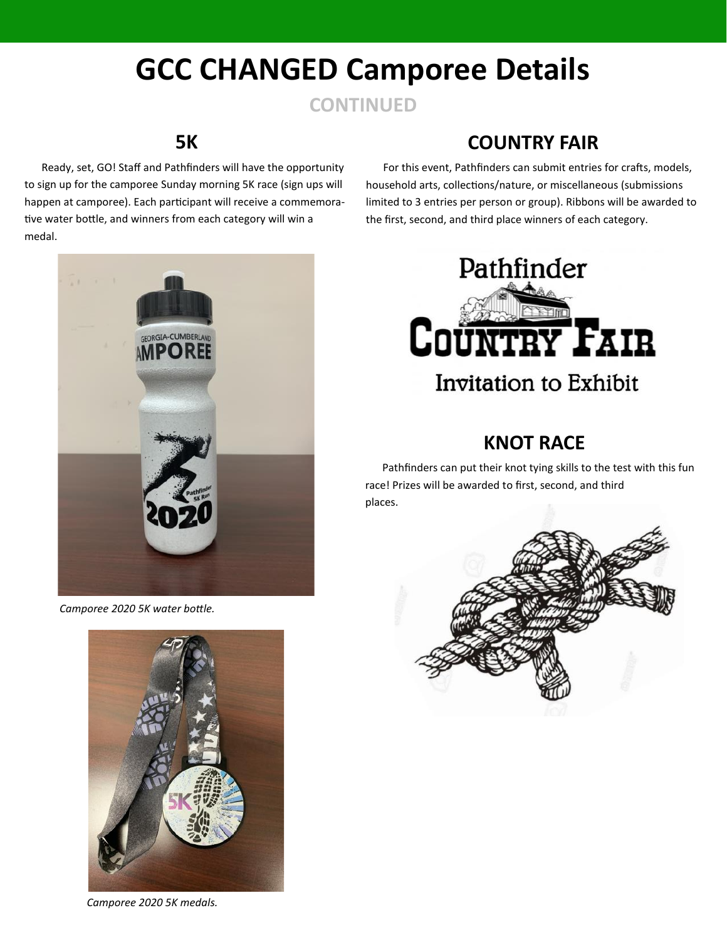### **GCC CHANGED Camporee Details**

#### **CONTINUED**

#### **5K**

Ready, set, GO! Staff and Pathfinders will have the opportunity to sign up for the camporee Sunday morning 5K race (sign ups will happen at camporee). Each participant will receive a commemorative water bottle, and winners from each category will win a medal.



 *Camporee 2020 5K water bottle.* 



 *Camporee 2020 5K medals.* 

#### **COUNTRY FAIR**

For this event, Pathfinders can submit entries for crafts, models, household arts, collections/nature, or miscellaneous (submissions limited to 3 entries per person or group). Ribbons will be awarded to the first, second, and third place winners of each category.



#### **KNOT RACE**

Pathfinders can put their knot tying skills to the test with this fun race! Prizes will be awarded to first, second, and third places.